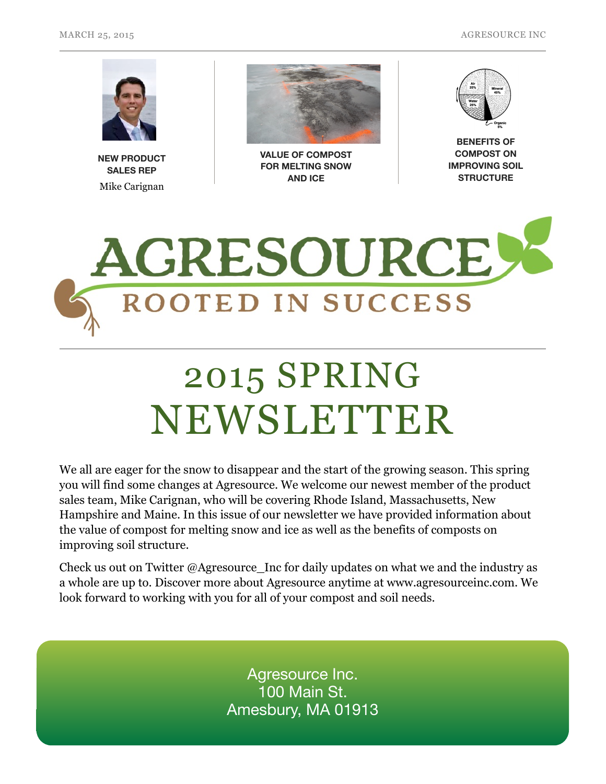

**NEW PRODUCT SALES REP**  Mike Carignan



**VALUE OF COMPOST FOR MELTING SNOW AND ICE**



**BENEFITS OF COMPOST ON IMPROVING SOIL STRUCTURE**



## 2015 SPRING NEWSLETTER

We all are eager for the snow to disappear and the start of the growing season. This spring you will find some changes at Agresource. We welcome our newest member of the product sales team, Mike Carignan, who will be covering Rhode Island, Massachusetts, New Hampshire and Maine. In this issue of our newsletter we have provided information about the value of compost for melting snow and ice as well as the benefits of composts on improving soil structure.

Check us out on Twitter @Agresource\_Inc for daily updates on what we and the industry as a whole are up to. Discover more about Agresource anytime at www.agresourceinc.com. We look forward to working with you for all of your compost and soil needs.

> Agresource Inc. 100 Main St. Amesbury, MA 01913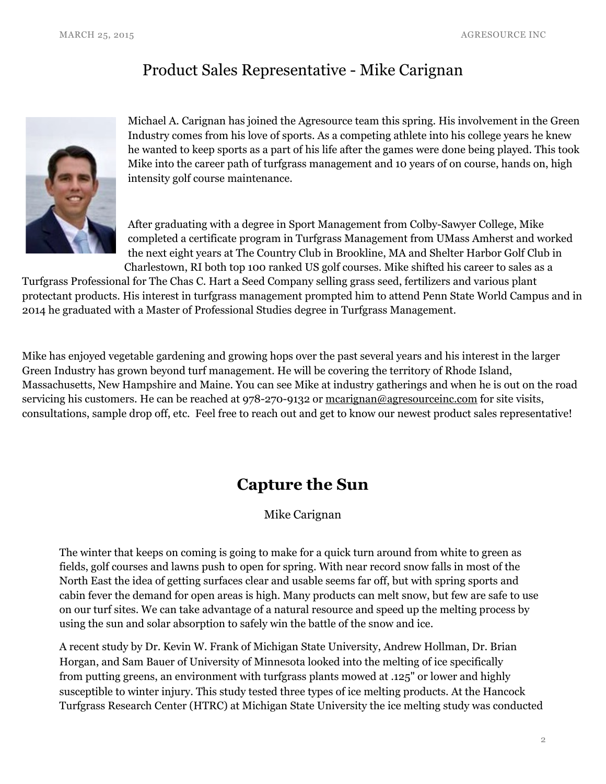## Product Sales Representative - Mike Carignan



Michael A. Carignan has joined the Agresource team this spring. His involvement in the Green Industry comes from his love of sports. As a competing athlete into his college years he knew he wanted to keep sports as a part of his life after the games were done being played. This took Mike into the career path of turfgrass management and 10 years of on course, hands on, high intensity golf course maintenance.

After graduating with a degree in Sport Management from Colby-Sawyer College, Mike completed a certificate program in Turfgrass Management from UMass Amherst and worked the next eight years at The Country Club in Brookline, MA and Shelter Harbor Golf Club in Charlestown, RI both top 100 ranked US golf courses. Mike shifted his career to sales as a

Turfgrass Professional for The Chas C. Hart a Seed Company selling grass seed, fertilizers and various plant protectant products. His interest in turfgrass management prompted him to attend Penn State World Campus and in 2014 he graduated with a Master of Professional Studies degree in Turfgrass Management.

Mike has enjoyed vegetable gardening and growing hops over the past several years and his interest in the larger Green Industry has grown beyond turf management. He will be covering the territory of Rhode Island, Massachusetts, New Hampshire and Maine. You can see Mike at industry gatherings and when he is out on the road servicing his customers. He can be reached at 978-270-9132 or mearignan@agresourceinc.com for site visits, consultations, sample drop off, etc. Feel free to reach out and get to know our newest product sales representative!

## **Capture the Sun**

Mike Carignan

The winter that keeps on coming is going to make for a quick turn around from white to green as fields, golf courses and lawns push to open for spring. With near record snow falls in most of the North East the idea of getting surfaces clear and usable seems far off, but with spring sports and cabin fever the demand for open areas is high. Many products can melt snow, but few are safe to use on our turf sites. We can take advantage of a natural resource and speed up the melting process by using the sun and solar absorption to safely win the battle of the snow and ice.

A recent study by Dr. Kevin W. Frank of Michigan State University, Andrew Hollman, Dr. Brian Horgan, and Sam Bauer of University of Minnesota looked into the melting of ice specifically from putting greens, an environment with turfgrass plants mowed at .125" or lower and highly susceptible to winter injury. This study tested three types of ice melting products. At the Hancock Turfgrass Research Center (HTRC) at Michigan State University the ice melting study was conducted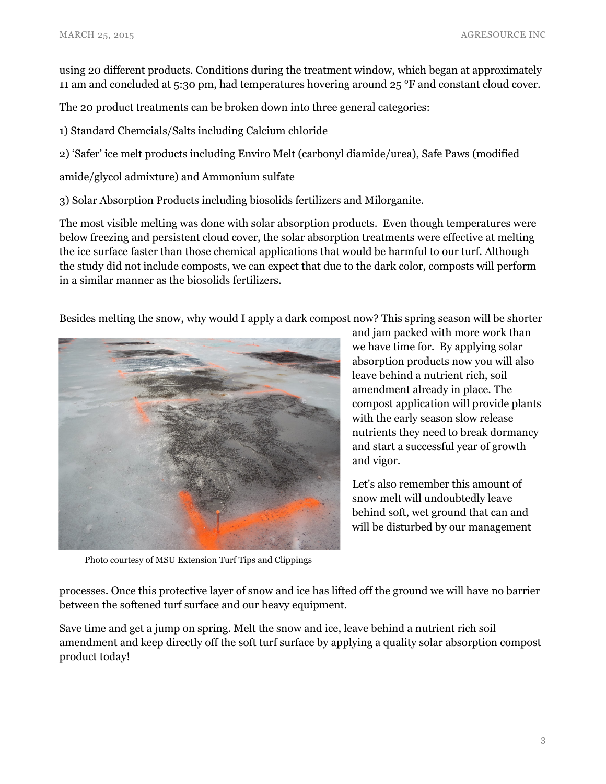using 20 different products. Conditions during the treatment window, which began at approximately 11 am and concluded at 5:30 pm, had temperatures hovering around 25 °F and constant cloud cover.

The 20 product treatments can be broken down into three general categories:

1) Standard Chemcials/Salts including Calcium chloride

2) 'Safer' ice melt products including Enviro Melt (carbonyl diamide/urea), Safe Paws (modified

amide/glycol admixture) and Ammonium sulfate

3) Solar Absorption Products including biosolids fertilizers and Milorganite.

The most visible melting was done with solar absorption products. Even though temperatures were below freezing and persistent cloud cover, the solar absorption treatments were effective at melting the ice surface faster than those chemical applications that would be harmful to our turf. Although the study did not include composts, we can expect that due to the dark color, composts will perform in a similar manner as the biosolids fertilizers.

Besides melting the snow, why would I apply a dark compost now? This spring season will be shorter



and jam packed with more work than we have time for. By applying solar absorption products now you will also leave behind a nutrient rich, soil amendment already in place. The compost application will provide plants with the early season slow release nutrients they need to break dormancy and start a successful year of growth and vigor.

Let's also remember this amount of snow melt will undoubtedly leave behind soft, wet ground that can and will be disturbed by our management

Photo courtesy of MSU Extension Turf Tips and Clippings

processes. Once this protective layer of snow and ice has lifted off the ground we will have no barrier between the softened turf surface and our heavy equipment.

Save time and get a jump on spring. Melt the snow and ice, leave behind a nutrient rich soil amendment and keep directly off the soft turf surface by applying a quality solar absorption compost product today!